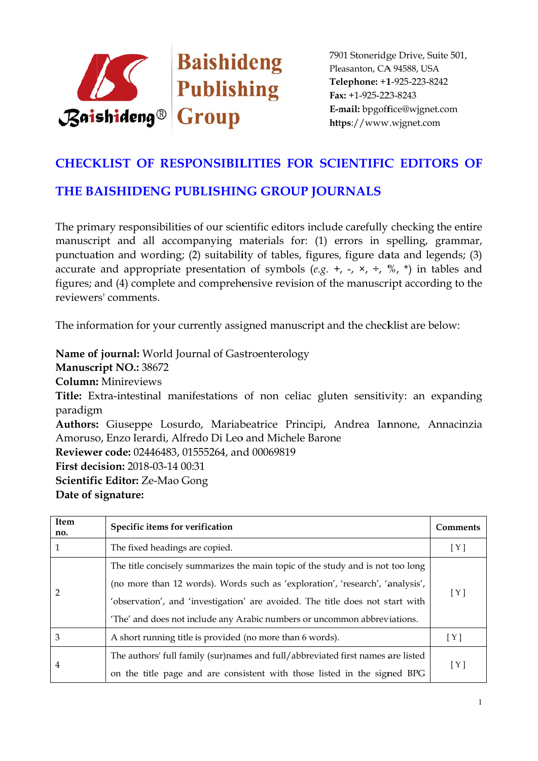

## **CHECKLIST OF RESPONSIBILITIES FOR SCIENTIFIC EDITORS OF**

## THE BAISHIDENG PUBLISHING GROUP JOURNALS

The primary responsibilities of our scientific editors include carefully checking the entire manuscript and all accompanying materials for: (1) errors in spelling, grammar, punctuation and wording; (2) suitability of tables, figures, figure data and legends; (3) accurate and appropriate presentation of symbols (e.g. +, -,  $\times$ ,  $\div$ ,  $\%$ ,  $\star$ ) in tables and figures; and (4) complete and comprehensive revision of the manuscript according to the reviewers' comments

The information for your currently assigned manuscript and the checklist are below:

Name of journal: World Journal of Gastroenterology Manuscript NO.: 38672 **Column:** Minireviews Title: Extra-intestinal manifestations of non celiac gluten sensitivity: an expanding paradigm Authors: Giuseppe Losurdo, Mariabeatrice Principi, Andrea Iannone, Annacinzia Amoruso, Enzo Ierardi, Alfredo Di Leo and Michele Barone Reviewer code: 02446483, 01555264, and 00069819 **First decision: 2018-03-14 00:31** Scientific Editor: Ze-Mao Gong Date of signature:

| Item<br>no. | Specific items for verification                                                 | Comments |
|-------------|---------------------------------------------------------------------------------|----------|
| 1           | The fixed headings are copied.                                                  | [Y]      |
| 2           | The title concisely summarizes the main topic of the study and is not too long  | [Y]      |
|             | (no more than 12 words). Words such as 'exploration', 'research', 'analysis',   |          |
|             | 'observation', and 'investigation' are avoided. The title does not start with   |          |
|             | 'The' and does not include any Arabic numbers or uncommon abbreviations.        |          |
| 3           | A short running title is provided (no more than 6 words).                       | [Y]      |
| 4           | The authors' full family (sur)names and full/abbreviated first names are listed | [Y]      |
|             | on the title page and are consistent with those listed in the signed BPG        |          |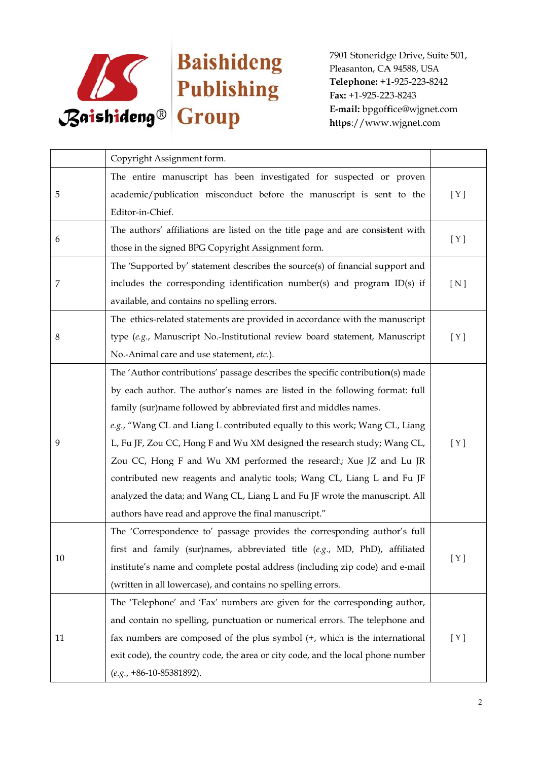

|    | Copyright Assignment form.                                                      |       |
|----|---------------------------------------------------------------------------------|-------|
| 5  | The entire manuscript has been investigated for suspected or proven             |       |
|    | academic/publication misconduct before the manuscript is sent to the            | [Y]   |
|    | Editor-in-Chief.                                                                |       |
|    | The authors' affiliations are listed on the title page and are consistent with  | [Y]   |
| 6  | those in the signed BPG Copyright Assignment form.                              |       |
|    | The 'Supported by' statement describes the source(s) of financial support and   |       |
| 7  | includes the corresponding identification number(s) and program ID(s) if        | [N]   |
|    | available, and contains no spelling errors.                                     |       |
|    | The ethics-related statements are provided in accordance with the manuscript    |       |
| 8  | type (e.g., Manuscript No.-Institutional review board statement, Manuscript     | [ Y ] |
|    | No.-Animal care and use statement, etc.).                                       |       |
|    | The 'Author contributions' passage describes the specific contribution(s) made  |       |
|    | by each author. The author's names are listed in the following format: full     |       |
|    | family (sur)name followed by abbreviated first and middles names.               |       |
|    | e.g., "Wang CL and Liang L contributed equally to this work; Wang CL, Liang     |       |
| 9  | L, Fu JF, Zou CC, Hong F and Wu XM designed the research study; Wang CL,        | [ Y ] |
|    | Zou CC, Hong F and Wu XM performed the research; Xue JZ and Lu JR               |       |
|    | contributed new reagents and analytic tools; Wang CL, Liang L and Fu JF         |       |
|    | analyzed the data; and Wang CL, Liang L and Fu JF wrote the manuscript. All     |       |
|    | authors have read and approve the final manuscript."                            |       |
| 10 | The 'Correspondence to' passage provides the corresponding author's full        |       |
|    | first and family (sur)names, abbreviated title $(e.g., MD, PhD)$ , affiliated   | [ Y ] |
|    | institute's name and complete postal address (including zip code) and e-mail    |       |
|    | (written in all lowercase), and contains no spelling errors.                    |       |
| 11 | The 'Telephone' and 'Fax' numbers are given for the corresponding author,       |       |
|    | and contain no spelling, punctuation or numerical errors. The telephone and     |       |
|    | fax numbers are composed of the plus symbol (+, which is the international      | [Y]   |
|    | exit code), the country code, the area or city code, and the local phone number |       |
|    | $(e.g., +86-10-85381892).$                                                      |       |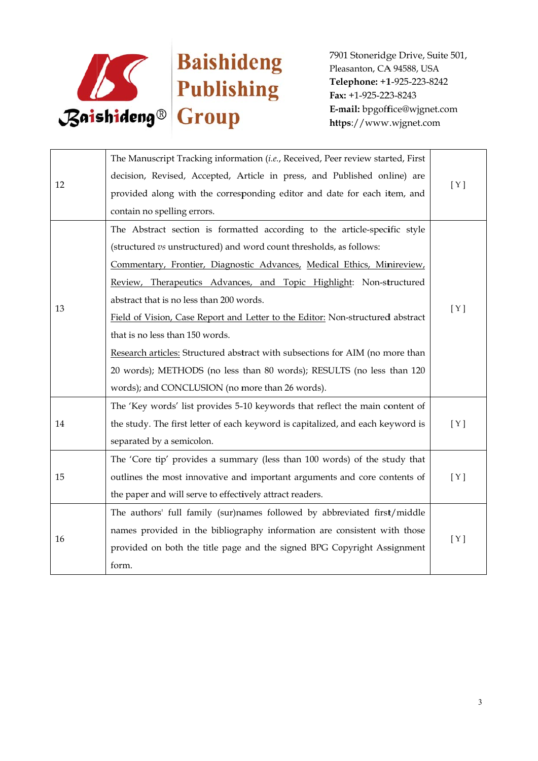

| 12 | The Manuscript Tracking information (i.e., Received, Peer review started, First | [Y] |
|----|---------------------------------------------------------------------------------|-----|
|    | decision, Revised, Accepted, Article in press, and Published online) are        |     |
|    | provided along with the corresponding editor and date for each item, and        |     |
|    | contain no spelling errors.                                                     |     |
|    | The Abstract section is formatted according to the article-specific style       | [Y] |
|    | (structured vs unstructured) and word count thresholds, as follows:             |     |
|    | Commentary, Frontier, Diagnostic Advances, Medical Ethics, Minireview,          |     |
|    | Review, Therapeutics Advances, and Topic Highlight: Non-structured              |     |
|    | abstract that is no less than 200 words.                                        |     |
| 13 | Field of Vision, Case Report and Letter to the Editor: Non-structured abstract  |     |
|    | that is no less than 150 words.                                                 |     |
|    | Research articles: Structured abstract with subsections for AIM (no more than   |     |
|    | 20 words); METHODS (no less than 80 words); RESULTS (no less than 120           |     |
|    | words); and CONCLUSION (no more than 26 words).                                 |     |
|    | The 'Key words' list provides 5-10 keywords that reflect the main content of    |     |
| 14 | the study. The first letter of each keyword is capitalized, and each keyword is | [Y] |
|    | separated by a semicolon.                                                       |     |
|    | The 'Core tip' provides a summary (less than 100 words) of the study that       |     |
| 15 | outlines the most innovative and important arguments and core contents of       | [Y] |
|    | the paper and will serve to effectively attract readers.                        |     |
| 16 | The authors' full family (sur)names followed by abbreviated first/middle        | [Y] |
|    | names provided in the bibliography information are consistent with those        |     |
|    | provided on both the title page and the signed BPG Copyright Assignment         |     |
|    | form.                                                                           |     |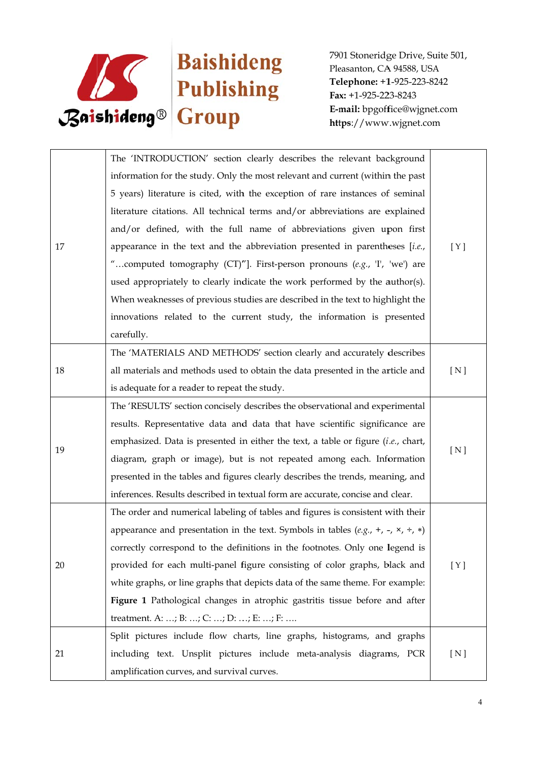

| 17 | The 'INTRODUCTION' section clearly describes the relevant background                                 |       |
|----|------------------------------------------------------------------------------------------------------|-------|
|    | information for the study. Only the most relevant and current (within the past                       |       |
|    | 5 years) literature is cited, with the exception of rare instances of seminal                        |       |
|    | literature citations. All technical terms and/or abbreviations are explained                         |       |
|    | and/or defined, with the full name of abbreviations given upon first                                 |       |
|    | appearance in the text and the abbreviation presented in parentheses $[i.e.,$                        | [Y]   |
|    | "computed tomography (CT)"]. First-person pronouns (e.g., 'I', 'we') are                             |       |
|    | used appropriately to clearly indicate the work performed by the author(s).                          |       |
|    | When weaknesses of previous studies are described in the text to highlight the                       |       |
|    | innovations related to the current study, the information is presented                               |       |
|    | carefully.                                                                                           |       |
|    | The 'MATERIALS AND METHODS' section clearly and accurately describes                                 |       |
| 18 | all materials and methods used to obtain the data presented in the article and                       | [ N ] |
|    | is adequate for a reader to repeat the study.                                                        |       |
|    | The 'RESULTS' section concisely describes the observational and experimental                         |       |
|    | results. Representative data and data that have scientific significance are                          |       |
| 19 | emphasized. Data is presented in either the text, a table or figure $(i.e.,$ chart,                  | [N]   |
|    | diagram, graph or image), but is not repeated among each. Information                                |       |
|    | presented in the tables and figures clearly describes the trends, meaning, and                       |       |
|    | inferences. Results described in textual form are accurate, concise and clear.                       |       |
| 20 | The order and numerical labeling of tables and figures is consistent with their                      |       |
|    | appearance and presentation in the text. Symbols in tables (e.g., +, -, $\times$ , $\div$ , $\ast$ ) |       |
|    | correctly correspond to the definitions in the footnotes. Only one legend is                         |       |
|    | provided for each multi-panel figure consisting of color graphs, black and                           | [ Y ] |
|    | white graphs, or line graphs that depicts data of the same theme. For example:                       |       |
|    | Figure 1 Pathological changes in atrophic gastritis tissue before and after                          |       |
|    | treatment. A: ; B: ; C: ; D: ; E: ; F:                                                               |       |
| 21 | Split pictures include flow charts, line graphs, histograms, and graphs                              |       |
|    | including text. Unsplit pictures include meta-analysis diagrams, PCR                                 | [ N ] |
|    | amplification curves, and survival curves.                                                           |       |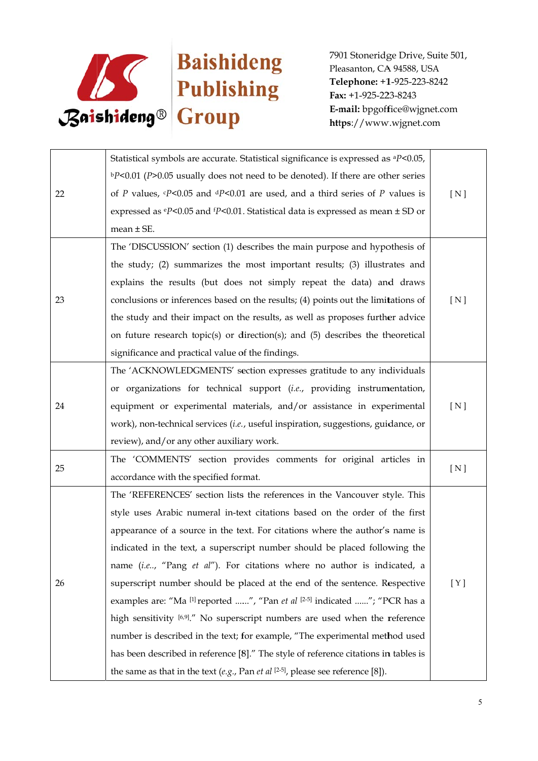

| 22 | Statistical symbols are accurate. Statistical significance is expressed as <sup>a</sup> P<0.05,             |       |
|----|-------------------------------------------------------------------------------------------------------------|-------|
|    | $bP<0.01$ (P>0.05 usually does not need to be denoted). If there are other series                           |       |
|    | of P values, $\epsilon P$ <0.05 and $\epsilon P$ <0.01 are used, and a third series of P values is          | [ N ] |
|    | expressed as $\mathrm{e}P$ <0.05 and $\mathrm{f}P$ <0.01. Statistical data is expressed as mean $\pm$ SD or |       |
|    | mean $\pm$ SE.                                                                                              |       |
|    | The 'DISCUSSION' section (1) describes the main purpose and hypothesis of                                   |       |
|    | the study; (2) summarizes the most important results; (3) illustrates and                                   |       |
|    | explains the results (but does not simply repeat the data) and draws                                        |       |
| 23 | conclusions or inferences based on the results; (4) points out the limitations of                           | [N]   |
|    | the study and their impact on the results, as well as proposes further advice                               |       |
|    | on future research topic(s) or direction(s); and (5) describes the theoretical                              |       |
|    | significance and practical value of the findings.                                                           |       |
|    | The 'ACKNOWLEDGMENTS' section expresses gratitude to any individuals                                        |       |
|    | or organizations for technical support (i.e., providing instrumentation,                                    |       |
| 24 | equipment or experimental materials, and/or assistance in experimental                                      | [ N ] |
|    | work), non-technical services (i.e., useful inspiration, suggestions, guidance, or                          |       |
|    | review), and/or any other auxiliary work.                                                                   |       |
|    | The 'COMMENTS' section provides comments for original articles in                                           | [N]   |
| 25 | accordance with the specified format.                                                                       |       |
| 26 | The 'REFERENCES' section lists the references in the Vancouver style. This                                  |       |
|    | style uses Arabic numeral in-text citations based on the order of the first                                 |       |
|    | appearance of a source in the text. For citations where the author's name is                                |       |
|    | indicated in the text, a superscript number should be placed following the                                  |       |
|    | name (i.e, "Pang et al"). For citations where no author is indicated, a                                     |       |
|    | superscript number should be placed at the end of the sentence. Respective                                  | [Y]   |
|    | examples are: "Ma [1] reported ", "Pan et al [2-5] indicated "; "PCR has a                                  |       |
|    | high sensitivity [6,9]." No superscript numbers are used when the reference                                 |       |
|    | number is described in the text; for example, "The experimental method used                                 |       |
|    | has been described in reference [8]." The style of reference citations in tables is                         |       |
|    | the same as that in the text (e.g., Pan et al $[2-5]$ , please see reference [8]).                          |       |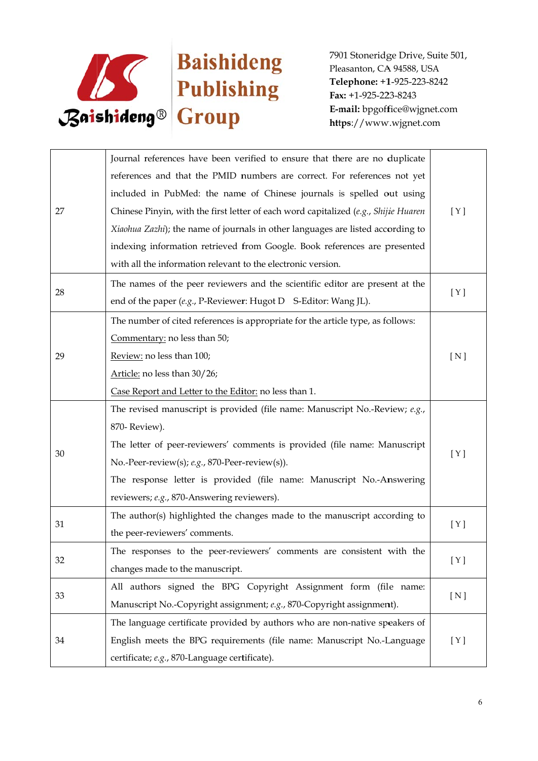

| 27 | Journal references have been verified to ensure that there are no duplicate         |                  |
|----|-------------------------------------------------------------------------------------|------------------|
|    | references and that the PMID numbers are correct. For references not yet            |                  |
|    | included in PubMed: the name of Chinese journals is spelled out using               |                  |
|    | Chinese Pinyin, with the first letter of each word capitalized (e.g., Shijie Huaren | [ Y ]            |
|    | Xiaohua Zazhi); the name of journals in other languages are listed according to     |                  |
|    | indexing information retrieved from Google. Book references are presented           |                  |
|    | with all the information relevant to the electronic version.                        |                  |
|    | The names of the peer reviewers and the scientific editor are present at the        | [Y]              |
| 28 | end of the paper (e.g., P-Reviewer: Hugot D S-Editor: Wang JL).                     |                  |
|    | The number of cited references is appropriate for the article type, as follows:     |                  |
|    | Commentary: no less than 50;                                                        |                  |
| 29 | Review: no less than 100;                                                           | [ <sub>N</sub> ] |
|    | Article: no less than 30/26;                                                        |                  |
|    | Case Report and Letter to the Editor: no less than 1.                               |                  |
|    | The revised manuscript is provided (file name: Manuscript No.-Review; e.g.,         |                  |
|    | 870-Review).                                                                        |                  |
| 30 | The letter of peer-reviewers' comments is provided (file name: Manuscript           | [ Y ]            |
|    | No.-Peer-review(s); e.g., 870-Peer-review(s)).                                      |                  |
|    | The response letter is provided (file name: Manuscript No.-Answering                |                  |
|    | reviewers; e.g., 870-Answering reviewers).                                          |                  |
| 31 | The author(s) highlighted the changes made to the manuscript according to           | [ Y ]            |
|    | the peer-reviewers' comments.                                                       |                  |
| 32 | The responses to the peer-reviewers' comments are consistent with the               | [Y]              |
|    | changes made to the manuscript.                                                     |                  |
| 33 | All authors signed the BPG Copyright Assignment form (file name:                    | [N]              |
|    | Manuscript No.-Copyright assignment; e.g., 870-Copyright assignment).               |                  |
| 34 | The language certificate provided by authors who are non-native speakers of         |                  |
|    | English meets the BPG requirements (file name: Manuscript No.-Language              | [Y]              |
|    | certificate; e.g., 870-Language certificate).                                       |                  |